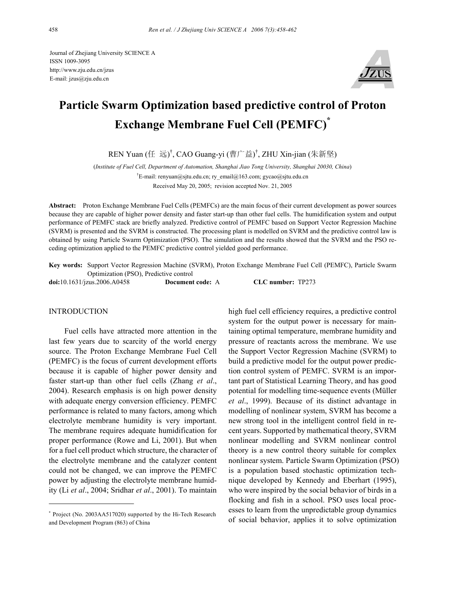Journal of Zhejiang University SCIENCE A ISSN 1009-3095 http://www.zju.edu.cn/jzus E-mail: jzus@zju.edu.cn



# **Particle Swarm Optimization based predictive control of Proton Exchange Membrane Fuel Cell (PEMFC)\***

REN Yuan (任 远) † , CAO Guang-yi (曹广益) † , ZHU Xin-jian (朱新坚)

(*Institute of Fuel Cell, Department of Automation, Shanghai Jiao Tong University, Shanghai 20030, China*) † E-mail: renyuan@sjtu.edu.cn; ry\_email@163.com; gycao@sjtu.edu.cn Received May 20, 2005; revision accepted Nov. 21, 2005

**Abstract:** Proton Exchange Membrane Fuel Cells (PEMFCs) are the main focus of their current development as power sources because they are capable of higher power density and faster start-up than other fuel cells. The humidification system and output performance of PEMFC stack are briefly analyzed. Predictive control of PEMFC based on Support Vector Regression Machine (SVRM) is presented and the SVRM is constructed. The processing plant is modelled on SVRM and the predictive control law is obtained by using Particle Swarm Optimization (PSO). The simulation and the results showed that the SVRM and the PSO receding optimization applied to the PEMFC predictive control yielded good performance.

**Key words:** Support Vector Regression Machine (SVRM), Proton Exchange Membrane Fuel Cell (PEMFC), Particle Swarm Optimization (PSO), Predictive control

**doi:**10.1631/jzus.2006.A0458 **Document code:** A **CLC number:** TP273

## INTRODUCTION

Fuel cells have attracted more attention in the last few years due to scarcity of the world energy source. The Proton Exchange Membrane Fuel Cell (PEMFC) is the focus of current development efforts because it is capable of higher power density and faster start-up than other fuel cells (Zhang *et al*., 2004). Research emphasis is on high power density with adequate energy conversion efficiency. PEMFC performance is related to many factors, among which electrolyte membrane humidity is very important. The membrane requires adequate humidification for proper performance (Rowe and Li, 2001). But when for a fuel cell product which structure, the character of the electrolyte membrane and the catalyzer content could not be changed, we can improve the PEMFC power by adjusting the electrolyte membrane humidity (Li *et al*., 2004; Sridhar *et al*., 2001). To maintain

high fuel cell efficiency requires, a predictive control system for the output power is necessary for maintaining optimal temperature, membrane humidity and pressure of reactants across the membrane. We use the Support Vector Regression Machine (SVRM) to build a predictive model for the output power prediction control system of PEMFC. SVRM is an important part of Statistical Learning Theory, and has good potential for modelling time-sequence events (Müller *et al*., 1999). Because of its distinct advantage in modelling of nonlinear system, SVRM has become a new strong tool in the intelligent control field in recent years. Supported by mathematical theory, SVRM nonlinear modelling and SVRM nonlinear control theory is a new control theory suitable for complex nonlinear system. Particle Swarm Optimization (PSO) is a population based stochastic optimization technique developed by Kennedy and Eberhart (1995), who were inspired by the social behavior of birds in a flocking and fish in a school. PSO uses local processes to learn from the unpredictable group dynamics of social behavior, applies it to solve optimization

<sup>\*</sup> Project (No. 2003AA517020) supported by the Hi-Tech Research and Development Program (863) of China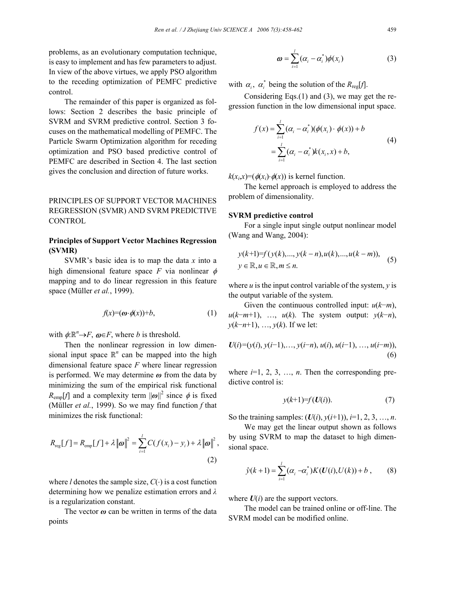problems, as an evolutionary computation technique, is easy to implement and has few parameters to adjust. In view of the above virtues, we apply PSO algorithm to the receding optimization of PEMFC predictive control.

The remainder of this paper is organized as follows: Section 2 describes the basic principle of SVRM and SVRM predictive control. Section 3 focuses on the mathematical modelling of PEMFC. The Particle Swarm Optimization algorithm for receding optimization and PSO based predictive control of PEMFC are described in Section 4. The last section gives the conclusion and direction of future works.

PRINCIPLES OF SUPPORT VECTOR MACHINES REGRESSION (SVMR) AND SVRM PREDICTIVE **CONTROL** 

# **Principles of Support Vector Machines Regression (SVMR)**

SVMR's basic idea is to map the data *x* into a high dimensional feature space  $F$  via nonlinear  $\phi$ mapping and to do linear regression in this feature space (Müller *et al.*, 1999).

$$
f(x)=(\boldsymbol{\omega}\cdot\boldsymbol{\phi}(x))+b,\tag{1}
$$

with  $\phi: \mathbb{R}^n \to F$ ,  $\omega \in F$ , where *b* is threshold.

Then the nonlinear regression in low dimensional input space  $\mathbb{R}^n$  can be mapped into the high dimensional feature space *F* where linear regression is performed. We may determine *ω* from the data by minimizing the sum of the empirical risk functional  $R_{\text{emp}}[f]$  and a complexity term  $||\boldsymbol{\omega}||^2$  since  $\phi$  is fixed (Müller *et al.*, 1999). So we may find function *f* that minimizes the risk functional:

$$
R_{\text{reg}}[f] = R_{\text{emp}}[f] + \lambda \|\boldsymbol{\omega}\|^2 = \sum_{i=1}^l C(f(x_i) - y_i) + \lambda \|\boldsymbol{\omega}\|^2,
$$
\n(2)

where *l* denotes the sample size,  $C(\cdot)$  is a cost function determining how we penalize estimation errors and *λ* is a regularization constant.

The vector  $\omega$  can be written in terms of the data points

$$
\boldsymbol{\omega} = \sum_{i=1}^{l} (\alpha_i - \alpha_i^*) \phi(\boldsymbol{x}_i)
$$
 (3)

with  $\alpha_i$ ,  $\alpha_i^*$  being the solution of the  $R_{\text{reg}}[f]$ .

Considering Eqs.(1) and (3), we may get the regression function in the low dimensional input space.

$$
f(x) = \sum_{i=1}^{l} (\alpha_i - \alpha_i^*)(\phi(x_i) \cdot \phi(x)) + b
$$
  
= 
$$
\sum_{i=1}^{l} (\alpha_i - \alpha_i^*)k(x_i, x) + b,
$$
 (4)

 $k(x_i,x) = (\phi(x_i) \cdot \phi(x))$  is kernel function.

The kernel approach is employed to address the problem of dimensionality.

### **SVRM predictive control**

For a single input single output nonlinear model (Wang and Wang, 2004):

$$
y(k+1)=f(y(k),...,y(k-n),u(k),...,u(k-m)),
$$
  
\n
$$
y \in \mathbb{R}, u \in \mathbb{R}, m \le n.
$$
 (5)

where  $u$  is the input control variable of the system,  $v$  is the output variable of the system.

Given the continuous controlled input: *u*(*k*−*m*), *u*(*k*−*m*+1), …, *u*(*k*). The system output: *y*(*k*−*n*), *y*(*k*−*n*+1), …, *y*(*k*). If we let:

$$
U(i)=(y(i), y(i-1),..., y(i-n), u(i), u(i-1), ..., u(i-m)),
$$

$$
(6)
$$

where  $i=1, 2, 3, \ldots, n$ . Then the corresponding predictive control is:

$$
y(k+1)=f(U(i)).\tag{7}
$$

So the training samples:  $(U(i), y(i+1)), i=1, 2, 3, ..., n$ .

We may get the linear output shown as follows by using SVRM to map the dataset to high dimensional space.

$$
\hat{y}(k+1) = \sum_{i=1}^{l} (\alpha_i - \alpha_i^*) K(U(i), U(k)) + b , \qquad (8)
$$

where  $U(i)$  are the support vectors.

The model can be trained online or off-line. The SVRM model can be modified online.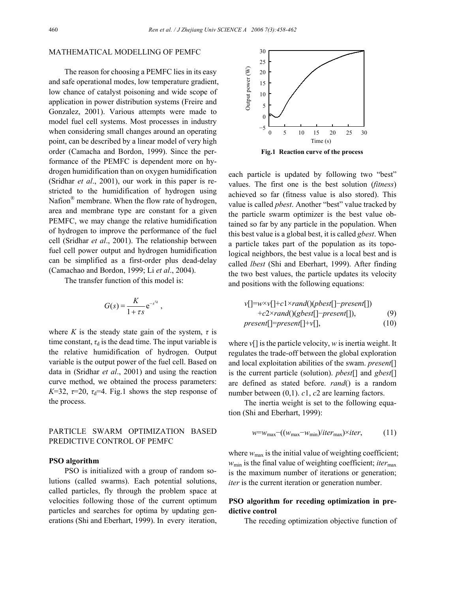## MATHEMATICAL MODELLING OF PEMFC

The reason for choosing a PEMFC lies in its easy and safe operational modes, low temperature gradient, low chance of catalyst poisoning and wide scope of application in power distribution systems (Freire and Gonzalez, 2001). Various attempts were made to model fuel cell systems. Most processes in industry when considering small changes around an operating point, can be described by a linear model of very high order (Camacha and Bordon, 1999). Since the performance of the PEMFC is dependent more on hydrogen humidification than on oxygen humidification (Sridhar *et al*., 2001), our work in this paper is restricted to the humidification of hydrogen using Nafion $^{\circledR}$  membrane. When the flow rate of hydrogen, area and membrane type are constant for a given PEMFC, we may change the relative humidification of hydrogen to improve the performance of the fuel cell (Sridhar *et al*., 2001). The relationship between fuel cell power output and hydrogen humidification can be simplified as a first-order plus dead-delay (Camachao and Bordon, 1999; Li *et al*., 2004).

The transfer function of this model is:

$$
G(s) = \frac{K}{1 + \tau s} e^{-s^{\tau d}},
$$

where *K* is the steady state gain of the system,  $\tau$  is time constant,  $\tau_d$  is the dead time. The input variable is the relative humidification of hydrogen. Output variable is the output power of the fuel cell. Based on data in (Sridhar *et al*., 2001) and using the reaction curve method, we obtained the process parameters:  $K=32$ ,  $\tau=20$ ,  $\tau_d=4$ . Fig.1 shows the step response of the process.

# PARTICLE SWARM OPTIMIZATION BASED PREDICTIVE CONTROL OF PEMFC

# **PSO algorithm**

PSO is initialized with a group of random solutions (called swarms). Each potential solutions, called particles, fly through the problem space at velocities following those of the current optimum particles and searches for optima by updating generations (Shi and Eberhart, 1999). In every iteration,



each particle is updated by following two "best" values. The first one is the best solution (*fitness*) achieved so far (fitness value is also stored). This value is called *pbest*. Another "best" value tracked by the particle swarm optimizer is the best value obtained so far by any particle in the population. When this best value is a global best, it is called *gbest*. When a particle takes part of the population as its topological neighbors, the best value is a local best and is called *lbest* (Shi and Eberhart, 1999). After finding the two best values, the particle updates its velocity and positions with the following equations:

$$
v[]=w\times v[]+c1\times rand()(pbest[]-present[])+c2\times rand')(gbest[]-present[])present[]=present[]+v[], (10)
$$

where *v*[] is the particle velocity, *w* is inertia weight. It regulates the trade-off between the global exploration and local exploitation abilities of the swam. *present*[] is the current particle (solution). *pbest*[] and *gbest*[] are defined as stated before. *rand*() is a random number between (0,1). *c*1, *c*2 are learning factors.

The inertia weight is set to the following equation (Shi and Eberhart, 1999):

$$
w = w_{\text{max}} - ((w_{\text{max}} - w_{\text{min}})/iter_{\text{max}}) \times iter,
$$
 (11)

where  $w_{\text{max}}$  is the initial value of weighting coefficient; *w*<sub>min</sub> is the final value of weighting coefficient; *iter*<sub>max</sub> is the maximum number of iterations or generation; *iter* is the current iteration or generation number.

# **PSO algorithm for receding optimization in predictive control**

The receding optimization objective function of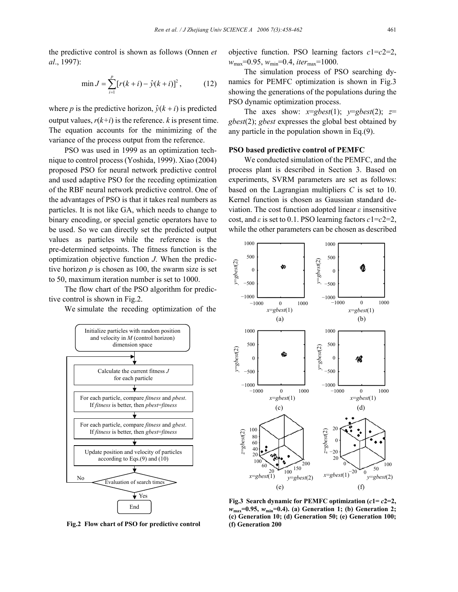the predictive control is shown as follows (Onnen *et al*., 1997):

$$
\min J = \sum_{i=1}^{p} [r(k+i) - \hat{y}(k+i)]^2, \quad (12)
$$

where *p* is the predictive horizon,  $\hat{y}(k + i)$  is predicted output values,  $r(k+i)$  is the reference. *k* is present time. The equation accounts for the minimizing of the variance of the process output from the reference.

PSO was used in 1999 as an optimization technique to control process (Yoshida, 1999). Xiao (2004) proposed PSO for neural network predictive control and used adaptive PSO for the receding optimization of the RBF neural network predictive control. One of the advantages of PSO is that it takes real numbers as particles. It is not like GA, which needs to change to binary encoding, or special genetic operators have to be used. So we can directly set the predicted output values as particles while the reference is the pre-determined setpoints. The fitness function is the optimization objective function *J*. When the predictive horizon  $p$  is chosen as 100, the swarm size is set to 50, maximum iteration number is set to 1000.

The flow chart of the PSO algorithm for predictive control is shown in Fig.2.

We simulate the receding optimization of the



**Fig.2 Flow chart of PSO for predictive control** 

objective function. PSO learning factors *c*1=*c*2=2, *w*max=0.95, *w*min=0.4, *iter*max=1000.

The simulation process of PSO searching dynamics for PEMFC optimization is shown in Fig.3 showing the generations of the populations during the PSO dynamic optimization process.

The axes show:  $x=gbest(1)$ ;  $y=gbest(2)$ ;  $z=$ *gbest*(2); *gbest* expresses the global best obtained by any particle in the population shown in Eq.(9).

#### **PSO based predictive control of PEMFC**

We conducted simulation of the PEMFC, and the process plant is described in Section 3. Based on experiments, SVRM parameters are set as follows: based on the Lagrangian multipliers *C* is set to 10. Kernel function is chosen as Gaussian standard deviation. The cost function adopted linear *ε* insensitive cost, and *ε* is set to 0.1. PSO learning factors *c*1=*c*2=2, while the other parameters can be chosen as described



**Fig.3 Search dynamic for PEMFC optimization**  $(c1 = c2=2,$  $w_{\text{max}} = 0.95$ ,  $w_{\text{min}} = 0.4$ ). (a) Generation 1; (b) Generation 2; **(c) Generation 10; (d) Generation 50; (e) Generation 100; (f) Generation 200**